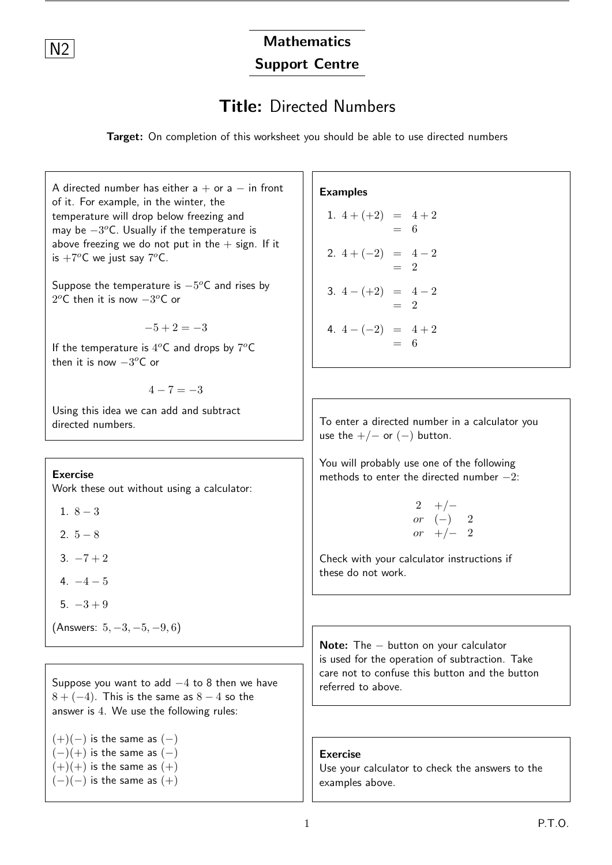## N<sub>2</sub> Mathematics Support Centre

## Title: Directed Numbers

Target: On completion of this worksheet you should be able to use directed numbers

A directed number has either  $a + or a - in$  front of it. For example, in the winter, the temperature will drop below freezing and may be  $-3^o$ C. Usually if the temperature is above freezing we do not put in the  $+$  sign. If it is  $+7^oC$  we just say  $7^oC$ . Suppose the temperature is  $-5^o\textsf{C}$  and rises by  $2^oC$  then it is now  $-3^oC$  or  $-5 + 2 = -3$ If the temperature is  $4^oC$  and drops by  $7^oC$ then it is now  $-3^oC$  or  $4 - 7 = -3$ Using this idea we can add and subtract directed numbers. Exercise Work these out without using a calculator: 1.  $8 - 3$ 2.  $5 - 8$ 3.  $-7+2$  $4 - 4 - 5$  $5. -3 + 9$ (Answers: 5, −3, −5, −9, 6) Suppose you want to add −4 to 8 then we have  $8 + (-4)$ . This is the same as  $8 - 4$  so the answer is 4. We use the following rules:  $(+)(-)$  is the same as  $(-)$ Examples 1.  $4 + (+2) = 4 + 2$  $= 6$ 2.  $4 + (-2) = 4 - 2$  $=$  2 3.  $4-(+2) = 4-2$  $- 2$ 4.  $4-(-2) = 4+2$  $= 6$ To enter a directed number in a calculator you use the  $+/-$  or  $(-)$  button. You will probably use one of the following methods to enter the directed number  $-2$ : 2 +/ $$ or  $(-)$  2  $or$  +/− 2 Check with your calculator instructions if these do not work. Note: The − button on your calculator is used for the operation of subtraction. Take care not to confuse this button and the button referred to above.

 $(-)(+)$  is the same as  $(-)$  $(+)$  is the same as  $(+)$  $(-)(-)$  is the same as  $(+)$ 

Exercise

Use your calculator to check the answers to the examples above.